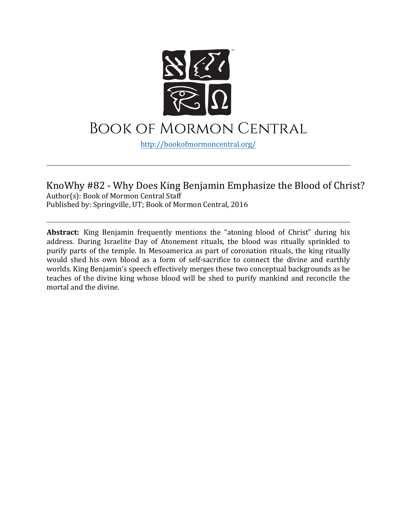

# Book of Mormon Central

[http://bookofmormoncentral.](http://bookofmormoncentral.com/)org/

#### KnoWhy #82 - Why Does King Benjamin Emphasize the Blood of Christ? Author(s): Book of Mormon Central Staff Published by: Springville, UT; Book of Mormon Central, 2016

**Abstract:** King Benjamin frequently mentions the "atoning blood of Christ" during his address. During Israelite Day of Atonement rituals, the blood was ritually sprinkled to purify parts of the temple. In Mesoamerica as part of coronation rituals, the king ritually would shed his own blood as a form of self-sacrifice to connect the divine and earthly worlds. King Benjamin's speech effectively merges these two conceptual backgrounds as he teaches of the divine king whose blood will be shed to purify mankind and reconcile the mortal and the divine.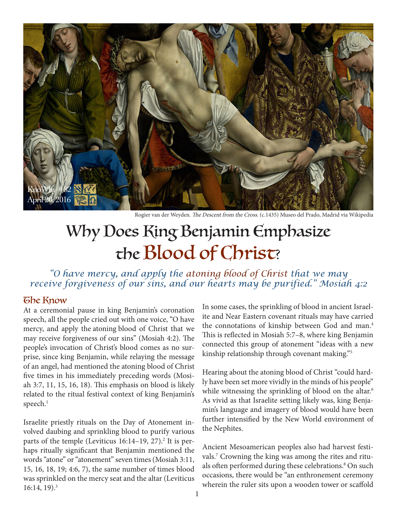

Rogier van der Weyden. The Descent from the Cross. (c.1435) Museo del Prado, Madrid via Wikipedia

# Why Does King Benjamin Emphasize the Blood of Christ?

*"O have mercy, and apply the atoning blood of Christ that we may receive forgiveness of our sins, and our hearts may be purified." Mosiah 4:2*

#### The Know

At a ceremonial pause in king Benjamin's coronation speech, all the people cried out with one voice, "O have mercy, and apply the atoning blood of Christ that we may receive forgiveness of our sins" (Mosiah 4:2). The people's invocation of Christ's blood comes as no surprise, since king Benjamin, while relaying the message of an angel, had mentioned the atoning blood of Christ five times in his immediately preceding words (Mosiah 3:7, 11, 15, 16, 18). This emphasis on blood is likely related to the ritual festival context of king Benjamin's speech. $^{\rm 1}$ 

Israelite priestly rituals on the Day of Atonement involved daubing and sprinkling blood to purify various parts of the temple (Leviticus 16:14–19, 27).<sup>2</sup> It is perhaps ritually significant that Benjamin mentioned the words "atone" or "atonement" seven times (Mosiah 3:11, 15, 16, 18, 19; 4:6, 7), the same number of times blood was sprinkled on the mercy seat and the altar (Leviticus  $16:14, 19$ .<sup>3</sup>

In some cases, the sprinkling of blood in ancient Israelite and Near Eastern covenant rituals may have carried the connotations of kinship between God and man.4 This is reflected in Mosiah 5:7–8, where king Benjamin connected this group of atonement "ideas with a new kinship relationship through covenant making."5

Hearing about the atoning blood of Christ "could hardly have been set more vividly in the minds of his people" while witnessing the sprinkling of blood on the altar.<sup>6</sup> As vivid as that Israelite setting likely was, king Benjamin's language and imagery of blood would have been further intensified by the New World environment of the Nephites.

Ancient Mesoamerican peoples also had harvest festivals.7 Crowning the king was among the rites and rituals often performed during these celebrations.<sup>8</sup> On such occasions, there would be "an enthronement ceremony wherein the ruler sits upon a wooden tower or scaffold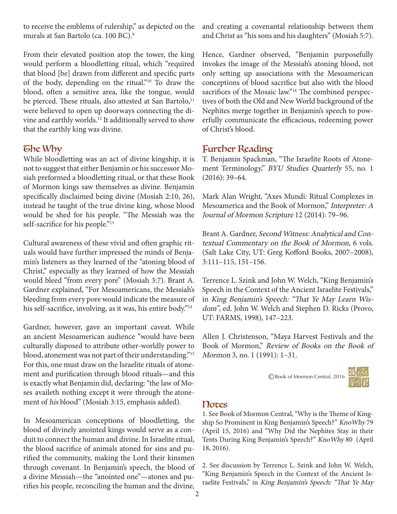to receive the emblems of rulership," as depicted on the murals at San Bartolo (ca. 100 BC).9

From their elevated position atop the tower, the king would perform a bloodletting ritual, which "required that blood [be] drawn from different and specific parts of the body, depending on the ritual."10 To draw the blood, often a sensitive area, like the tongue, would be pierced. These rituals, also attested at San Bartolo,<sup>11</sup> were believed to open up doorways connecting the divine and earthly worlds.12 It additionally served to show that the earthly king was divine.

## **The Why**

While bloodletting was an act of divine kingship, it is not to suggest that either Benjamin or his successor Mosiah preformed a bloodletting ritual, or that these Book of Mormon kings saw themselves as divine. Benjamin specifically disclaimed being divine (Mosiah 2:10, 26), instead he taught of the true divine king, whose blood would be shed for his people. "The Messiah was the self-sacrifice for his people."<sup>13</sup>

Cultural awareness of these vivid and often graphic rituals would have further impressed the minds of Benjamin's listeners as they learned of the "atoning blood of Christ," especially as they learned of how the Messiah would bleed "from every pore" (Mosiah 3:7). Brant A. Gardner explained, "For Mesoamericans, the Messiah's bleeding from every pore would indicate the measure of his self-sacrifice, involving, as it was, his entire body."<sup>14</sup>

Gardner, however, gave an important caveat. While an ancient Mesoamerican audience "would have been culturally disposed to attribute other-worldly power to blood, atonement was not part of their understanding."15 For this, one must draw on the Israelite rituals of atonement and purification through blood rituals—and this is exactly what Benjamin did, declaring: "the law of Moses availeth nothing except it were through the atonement of his blood" (Mosiah 3:15, emphasis added).

In Mesoamerican conceptions of bloodletting, the blood of divinely anointed kings would serve as a conduit to connect the human and divine. In Israelite ritual, the blood sacrifice of animals atoned for sins and purified the community, making the Lord their kinsmen through covenant. In Benjamin's speech, the blood of a divine Messiah—the "anointed one"—atones and purifies his people, reconciling the human and the divine,

and creating a covenantal relationship between them and Christ as "his sons and his daughters" (Mosiah 5:7).

Hence, Gardner observed, "Benjamin purposefully invokes the image of the Messiah's atoning blood, not only setting up associations with the Mesoamerican conceptions of blood sacrifice but also with the blood sacrifices of the Mosaic law."<sup>16</sup> The combined perspectives of both the Old and New World background of the Nephites merge together in Benjamin's speech to powerfully communicate the efficacious, redeeming power of Christ's blood.

# Further Reading

T. Benjamin Spackman, "The Israelite Roots of Atonement Terminology," BYU Studies Quarterly 55, no. 1 (2016): 39–64.

Mark Alan Wright, "Axes Mundi: Ritual Complexes in Mesoamerica and the Book of Mormon," Interpreter: A Journal of Mormon Scripture 12 (2014): 79–96.

Brant A. Gardner, Second Witness: Analytical and Contextual Commentary on the Book of Mormon, 6 vols. (Salt Lake City, UT: Greg Kofford Books, 2007–2008), 3:111–115, 151–156.

Terrence L. Szink and John W. Welch, "King Benjamin's Speech in the Context of the Ancient Israelite Festivals," in King Benjamin's Speech: "That Ye May Learn Wisdom", ed. John W. Welch and Stephen D. Ricks (Provo, UT: FARMS, 1998), 147–223.

Allen J. Christenson, "Maya Harvest Festivals and the Book of Mormon," Review of Books on the Book of Mormon 3, no. 1 (1991): 1–31.

©Book of Mormon Central, 2016



## Notes

1. See Book of Mormon Central, "Why is the Theme of Kingship So Prominent in King Benjamin's Speech?" KnoWhy 79 (April 15, 2016) and "Why Did the Nephites Stay in their Tents During King Benjamin's Speech?" KnoWhy 80 (April 18, 2016).

2. See discussion by Terrence L. Szink and John W. Welch, "King Benjamin's Speech in the Context of the Ancient Israelite Festivals," in King Benjamin's Speech: "That Ye May